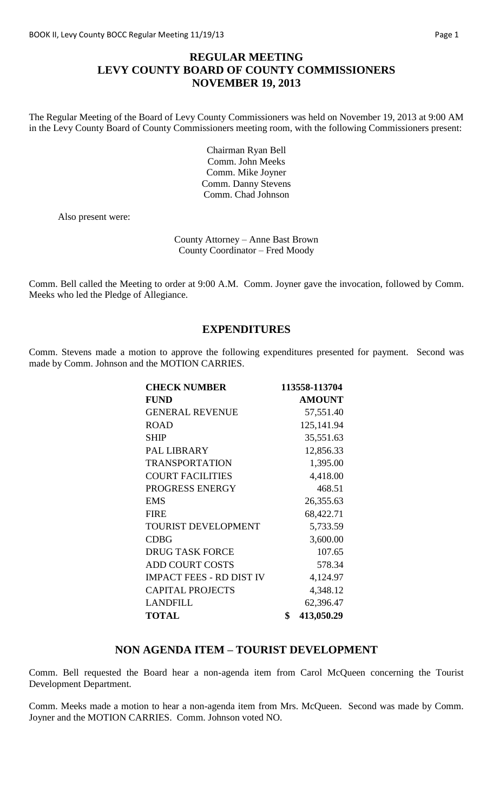## **REGULAR MEETING LEVY COUNTY BOARD OF COUNTY COMMISSIONERS NOVEMBER 19, 2013**

The Regular Meeting of the Board of Levy County Commissioners was held on November 19, 2013 at 9:00 AM in the Levy County Board of County Commissioners meeting room, with the following Commissioners present:

> Chairman Ryan Bell Comm. John Meeks Comm. Mike Joyner Comm. Danny Stevens Comm. Chad Johnson

Also present were:

County Attorney – Anne Bast Brown County Coordinator – Fred Moody

Comm. Bell called the Meeting to order at 9:00 A.M. Comm. Joyner gave the invocation, followed by Comm. Meeks who led the Pledge of Allegiance.

### **EXPENDITURES**

Comm. Stevens made a motion to approve the following expenditures presented for payment. Second was made by Comm. Johnson and the MOTION CARRIES.

| <b>CHECK NUMBER</b>             | 113558-113704    |
|---------------------------------|------------------|
| <b>FUND</b>                     | <b>AMOUNT</b>    |
| <b>GENERAL REVENUE</b>          | 57,551.40        |
| <b>ROAD</b>                     | 125,141.94       |
| <b>SHIP</b>                     | 35,551.63        |
| PAL LIBRARY                     | 12,856.33        |
| <b>TRANSPORTATION</b>           | 1,395.00         |
| <b>COURT FACILITIES</b>         | 4,418.00         |
| PROGRESS ENERGY                 | 468.51           |
| <b>EMS</b>                      | 26,355.63        |
| <b>FIRE</b>                     | 68,422.71        |
| <b>TOURIST DEVELOPMENT</b>      | 5,733.59         |
| <b>CDBG</b>                     | 3,600.00         |
| <b>DRUG TASK FORCE</b>          | 107.65           |
| <b>ADD COURT COSTS</b>          | 578.34           |
| <b>IMPACT FEES - RD DIST IV</b> | 4,124.97         |
| <b>CAPITAL PROJECTS</b>         | 4,348.12         |
| <b>LANDFILL</b>                 | 62,396.47        |
| <b>TOTAL</b>                    | \$<br>413,050.29 |

### **NON AGENDA ITEM – TOURIST DEVELOPMENT**

Comm. Bell requested the Board hear a non-agenda item from Carol McQueen concerning the Tourist Development Department.

Comm. Meeks made a motion to hear a non-agenda item from Mrs. McQueen. Second was made by Comm. Joyner and the MOTION CARRIES. Comm. Johnson voted NO.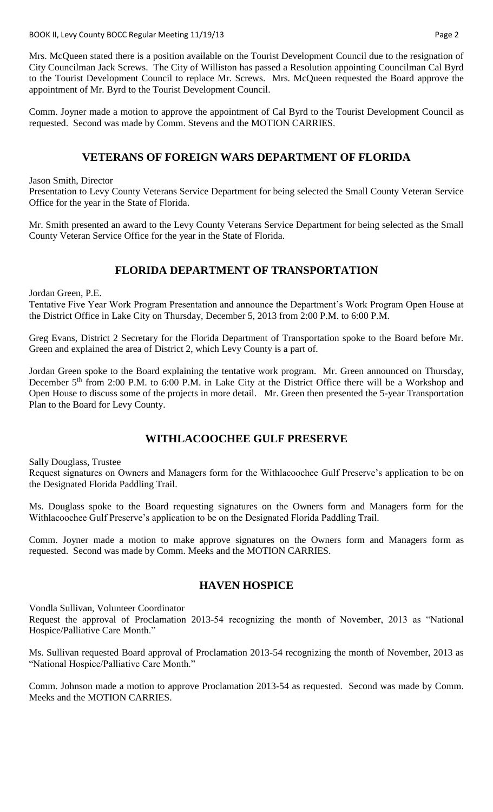BOOK II, Levy County BOCC Regular Meeting 11/19/13 **Page 2** Page 2

Mrs. McQueen stated there is a position available on the Tourist Development Council due to the resignation of City Councilman Jack Screws. The City of Williston has passed a Resolution appointing Councilman Cal Byrd to the Tourist Development Council to replace Mr. Screws. Mrs. McQueen requested the Board approve the appointment of Mr. Byrd to the Tourist Development Council.

Comm. Joyner made a motion to approve the appointment of Cal Byrd to the Tourist Development Council as requested. Second was made by Comm. Stevens and the MOTION CARRIES.

# **VETERANS OF FOREIGN WARS DEPARTMENT OF FLORIDA**

Jason Smith, Director

Presentation to Levy County Veterans Service Department for being selected the Small County Veteran Service Office for the year in the State of Florida.

Mr. Smith presented an award to the Levy County Veterans Service Department for being selected as the Small County Veteran Service Office for the year in the State of Florida.

# **FLORIDA DEPARTMENT OF TRANSPORTATION**

Jordan Green, P.E.

Tentative Five Year Work Program Presentation and announce the Department's Work Program Open House at the District Office in Lake City on Thursday, December 5, 2013 from 2:00 P.M. to 6:00 P.M.

Greg Evans, District 2 Secretary for the Florida Department of Transportation spoke to the Board before Mr. Green and explained the area of District 2, which Levy County is a part of.

Jordan Green spoke to the Board explaining the tentative work program. Mr. Green announced on Thursday, December 5<sup>th</sup> from 2:00 P.M. to 6:00 P.M. in Lake City at the District Office there will be a Workshop and Open House to discuss some of the projects in more detail. Mr. Green then presented the 5-year Transportation Plan to the Board for Levy County.

# **WITHLACOOCHEE GULF PRESERVE**

Sally Douglass, Trustee

Request signatures on Owners and Managers form for the Withlacoochee Gulf Preserve's application to be on the Designated Florida Paddling Trail.

Ms. Douglass spoke to the Board requesting signatures on the Owners form and Managers form for the Withlacoochee Gulf Preserve's application to be on the Designated Florida Paddling Trail.

Comm. Joyner made a motion to make approve signatures on the Owners form and Managers form as requested. Second was made by Comm. Meeks and the MOTION CARRIES.

### **HAVEN HOSPICE**

Vondla Sullivan, Volunteer Coordinator

Request the approval of Proclamation 2013-54 recognizing the month of November, 2013 as "National Hospice/Palliative Care Month."

Ms. Sullivan requested Board approval of Proclamation 2013-54 recognizing the month of November, 2013 as "National Hospice/Palliative Care Month."

Comm. Johnson made a motion to approve Proclamation 2013-54 as requested. Second was made by Comm. Meeks and the MOTION CARRIES.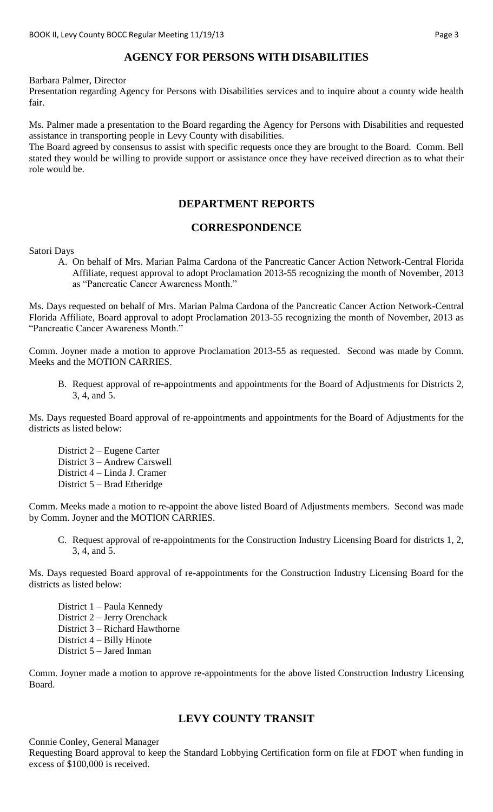# **AGENCY FOR PERSONS WITH DISABILITIES**

Barbara Palmer, Director

Presentation regarding Agency for Persons with Disabilities services and to inquire about a county wide health fair.

Ms. Palmer made a presentation to the Board regarding the Agency for Persons with Disabilities and requested assistance in transporting people in Levy County with disabilities.

The Board agreed by consensus to assist with specific requests once they are brought to the Board. Comm. Bell stated they would be willing to provide support or assistance once they have received direction as to what their role would be.

## **DEPARTMENT REPORTS**

### **CORRESPONDENCE**

Satori Days

A. On behalf of Mrs. Marian Palma Cardona of the Pancreatic Cancer Action Network-Central Florida Affiliate, request approval to adopt Proclamation 2013-55 recognizing the month of November, 2013 as "Pancreatic Cancer Awareness Month."

Ms. Days requested on behalf of Mrs. Marian Palma Cardona of the Pancreatic Cancer Action Network-Central Florida Affiliate, Board approval to adopt Proclamation 2013-55 recognizing the month of November, 2013 as "Pancreatic Cancer Awareness Month."

Comm. Joyner made a motion to approve Proclamation 2013-55 as requested. Second was made by Comm. Meeks and the MOTION CARRIES.

B. Request approval of re-appointments and appointments for the Board of Adjustments for Districts 2, 3, 4, and 5.

Ms. Days requested Board approval of re-appointments and appointments for the Board of Adjustments for the districts as listed below:

District 2 – Eugene Carter District 3 – Andrew Carswell District 4 – Linda J. Cramer District 5 – Brad Etheridge

Comm. Meeks made a motion to re-appoint the above listed Board of Adjustments members. Second was made by Comm. Joyner and the MOTION CARRIES.

C. Request approval of re-appointments for the Construction Industry Licensing Board for districts 1, 2, 3, 4, and 5.

Ms. Days requested Board approval of re-appointments for the Construction Industry Licensing Board for the districts as listed below:

- District 1 Paula Kennedy District 2 – Jerry Orenchack District 3 – Richard Hawthorne District 4 – Billy Hinote
- District 5 Jared Inman

Comm. Joyner made a motion to approve re-appointments for the above listed Construction Industry Licensing Board.

## **LEVY COUNTY TRANSIT**

Connie Conley, General Manager Requesting Board approval to keep the Standard Lobbying Certification form on file at FDOT when funding in excess of \$100,000 is received.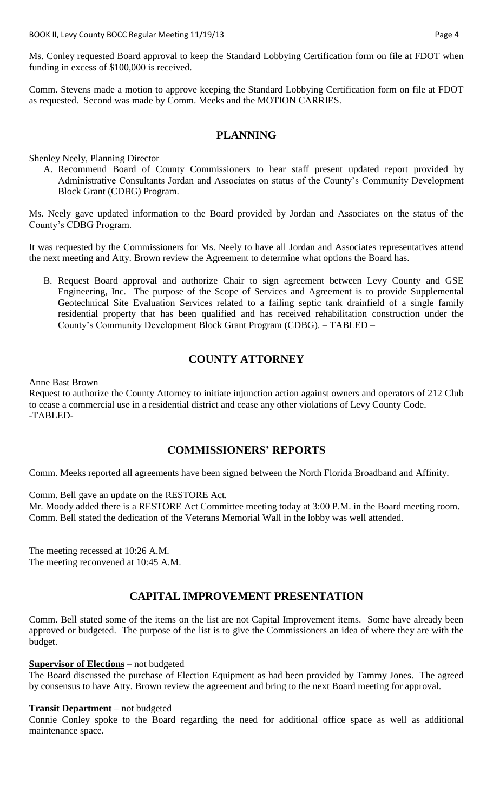BOOK II, Levy County BOCC Regular Meeting 11/19/13 **Page 4** Page 4

Ms. Conley requested Board approval to keep the Standard Lobbying Certification form on file at FDOT when funding in excess of \$100,000 is received.

Comm. Stevens made a motion to approve keeping the Standard Lobbying Certification form on file at FDOT as requested. Second was made by Comm. Meeks and the MOTION CARRIES.

### **PLANNING**

Shenley Neely, Planning Director

A. Recommend Board of County Commissioners to hear staff present updated report provided by Administrative Consultants Jordan and Associates on status of the County's Community Development Block Grant (CDBG) Program.

Ms. Neely gave updated information to the Board provided by Jordan and Associates on the status of the County's CDBG Program.

It was requested by the Commissioners for Ms. Neely to have all Jordan and Associates representatives attend the next meeting and Atty. Brown review the Agreement to determine what options the Board has.

B. Request Board approval and authorize Chair to sign agreement between Levy County and GSE Engineering, Inc. The purpose of the Scope of Services and Agreement is to provide Supplemental Geotechnical Site Evaluation Services related to a failing septic tank drainfield of a single family residential property that has been qualified and has received rehabilitation construction under the County's Community Development Block Grant Program (CDBG). – TABLED –

# **COUNTY ATTORNEY**

Anne Bast Brown

Request to authorize the County Attorney to initiate injunction action against owners and operators of 212 Club to cease a commercial use in a residential district and cease any other violations of Levy County Code. -TABLED-

### **COMMISSIONERS' REPORTS**

Comm. Meeks reported all agreements have been signed between the North Florida Broadband and Affinity.

Comm. Bell gave an update on the RESTORE Act.

Mr. Moody added there is a RESTORE Act Committee meeting today at 3:00 P.M. in the Board meeting room. Comm. Bell stated the dedication of the Veterans Memorial Wall in the lobby was well attended.

The meeting recessed at 10:26 A.M. The meeting reconvened at 10:45 A.M.

## **CAPITAL IMPROVEMENT PRESENTATION**

Comm. Bell stated some of the items on the list are not Capital Improvement items. Some have already been approved or budgeted. The purpose of the list is to give the Commissioners an idea of where they are with the budget.

### **Supervisor of Elections** – not budgeted

The Board discussed the purchase of Election Equipment as had been provided by Tammy Jones. The agreed by consensus to have Atty. Brown review the agreement and bring to the next Board meeting for approval.

#### **Transit Department** – not budgeted

Connie Conley spoke to the Board regarding the need for additional office space as well as additional maintenance space.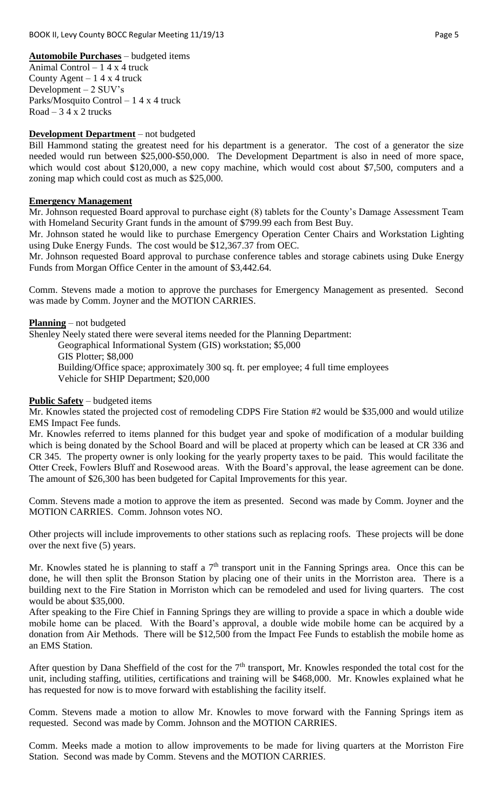**Automobile Purchases** – budgeted items Animal Control – 1 4 x 4 truck County Agent  $-14x4$  truck Development – 2 SUV's Parks/Mosquito Control – 1 4 x 4 truck  $Road - 34x2$  trucks

#### **Development Department** – not budgeted

Bill Hammond stating the greatest need for his department is a generator. The cost of a generator the size needed would run between \$25,000-\$50,000. The Development Department is also in need of more space, which would cost about \$120,000, a new copy machine, which would cost about \$7,500, computers and a zoning map which could cost as much as \$25,000.

#### **Emergency Management**

Mr. Johnson requested Board approval to purchase eight (8) tablets for the County's Damage Assessment Team with Homeland Security Grant funds in the amount of \$799.99 each from Best Buy.

Mr. Johnson stated he would like to purchase Emergency Operation Center Chairs and Workstation Lighting using Duke Energy Funds. The cost would be \$12,367.37 from OEC.

Mr. Johnson requested Board approval to purchase conference tables and storage cabinets using Duke Energy Funds from Morgan Office Center in the amount of \$3,442.64.

Comm. Stevens made a motion to approve the purchases for Emergency Management as presented. Second was made by Comm. Joyner and the MOTION CARRIES.

**Planning** – not budgeted

Shenley Neely stated there were several items needed for the Planning Department:

Geographical Informational System (GIS) workstation; \$5,000

GIS Plotter; \$8,000

Building/Office space; approximately 300 sq. ft. per employee; 4 full time employees Vehicle for SHIP Department; \$20,000

#### **Public Safety** – budgeted items

Mr. Knowles stated the projected cost of remodeling CDPS Fire Station #2 would be \$35,000 and would utilize EMS Impact Fee funds.

Mr. Knowles referred to items planned for this budget year and spoke of modification of a modular building which is being donated by the School Board and will be placed at property which can be leased at CR 336 and CR 345. The property owner is only looking for the yearly property taxes to be paid. This would facilitate the Otter Creek, Fowlers Bluff and Rosewood areas. With the Board's approval, the lease agreement can be done. The amount of \$26,300 has been budgeted for Capital Improvements for this year.

Comm. Stevens made a motion to approve the item as presented. Second was made by Comm. Joyner and the MOTION CARRIES. Comm. Johnson votes NO.

Other projects will include improvements to other stations such as replacing roofs. These projects will be done over the next five (5) years.

Mr. Knowles stated he is planning to staff a  $7<sup>th</sup>$  transport unit in the Fanning Springs area. Once this can be done, he will then split the Bronson Station by placing one of their units in the Morriston area. There is a building next to the Fire Station in Morriston which can be remodeled and used for living quarters. The cost would be about \$35,000.

After speaking to the Fire Chief in Fanning Springs they are willing to provide a space in which a double wide mobile home can be placed. With the Board's approval, a double wide mobile home can be acquired by a donation from Air Methods. There will be \$12,500 from the Impact Fee Funds to establish the mobile home as an EMS Station.

After question by Dana Sheffield of the cost for the  $7<sup>th</sup>$  transport, Mr. Knowles responded the total cost for the unit, including staffing, utilities, certifications and training will be \$468,000. Mr. Knowles explained what he has requested for now is to move forward with establishing the facility itself.

Comm. Stevens made a motion to allow Mr. Knowles to move forward with the Fanning Springs item as requested. Second was made by Comm. Johnson and the MOTION CARRIES.

Comm. Meeks made a motion to allow improvements to be made for living quarters at the Morriston Fire Station. Second was made by Comm. Stevens and the MOTION CARRIES.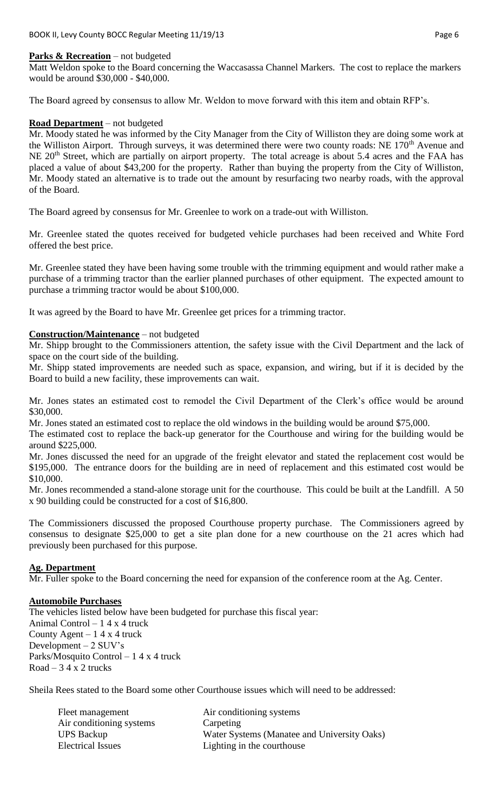#### **Parks & Recreation** – not budgeted

Matt Weldon spoke to the Board concerning the Waccasassa Channel Markers. The cost to replace the markers would be around \$30,000 - \$40,000.

The Board agreed by consensus to allow Mr. Weldon to move forward with this item and obtain RFP's.

#### **Road Department** – not budgeted

Mr. Moody stated he was informed by the City Manager from the City of Williston they are doing some work at the Williston Airport. Through surveys, it was determined there were two county roads: NE 170<sup>th</sup> Avenue and NE 20<sup>th</sup> Street, which are partially on airport property. The total acreage is about 5.4 acres and the FAA has placed a value of about \$43,200 for the property. Rather than buying the property from the City of Williston, Mr. Moody stated an alternative is to trade out the amount by resurfacing two nearby roads, with the approval of the Board.

The Board agreed by consensus for Mr. Greenlee to work on a trade-out with Williston.

Mr. Greenlee stated the quotes received for budgeted vehicle purchases had been received and White Ford offered the best price.

Mr. Greenlee stated they have been having some trouble with the trimming equipment and would rather make a purchase of a trimming tractor than the earlier planned purchases of other equipment. The expected amount to purchase a trimming tractor would be about \$100,000.

It was agreed by the Board to have Mr. Greenlee get prices for a trimming tractor.

#### **Construction/Maintenance** – not budgeted

Mr. Shipp brought to the Commissioners attention, the safety issue with the Civil Department and the lack of space on the court side of the building.

Mr. Shipp stated improvements are needed such as space, expansion, and wiring, but if it is decided by the Board to build a new facility, these improvements can wait.

Mr. Jones states an estimated cost to remodel the Civil Department of the Clerk's office would be around \$30,000.

Mr. Jones stated an estimated cost to replace the old windows in the building would be around \$75,000.

The estimated cost to replace the back-up generator for the Courthouse and wiring for the building would be around \$225,000.

Mr. Jones discussed the need for an upgrade of the freight elevator and stated the replacement cost would be \$195,000. The entrance doors for the building are in need of replacement and this estimated cost would be \$10,000.

Mr. Jones recommended a stand-alone storage unit for the courthouse. This could be built at the Landfill. A 50 x 90 building could be constructed for a cost of \$16,800.

The Commissioners discussed the proposed Courthouse property purchase. The Commissioners agreed by consensus to designate \$25,000 to get a site plan done for a new courthouse on the 21 acres which had previously been purchased for this purpose.

#### **Ag. Department**

Mr. Fuller spoke to the Board concerning the need for expansion of the conference room at the Ag. Center.

### **Automobile Purchases**

The vehicles listed below have been budgeted for purchase this fiscal year: Animal Control – 1 4 x 4 truck County Agent –  $14x4$  truck Development – 2 SUV's Parks/Mosquito Control – 1 4 x 4 truck  $Road - 34 x 2$  trucks

Sheila Rees stated to the Board some other Courthouse issues which will need to be addressed:

| Fleet management         | Air conditioning systems                    |
|--------------------------|---------------------------------------------|
| Air conditioning systems | Carpeting                                   |
| <b>UPS Backup</b>        | Water Systems (Manatee and University Oaks) |
| <b>Electrical Issues</b> | Lighting in the courthouse                  |